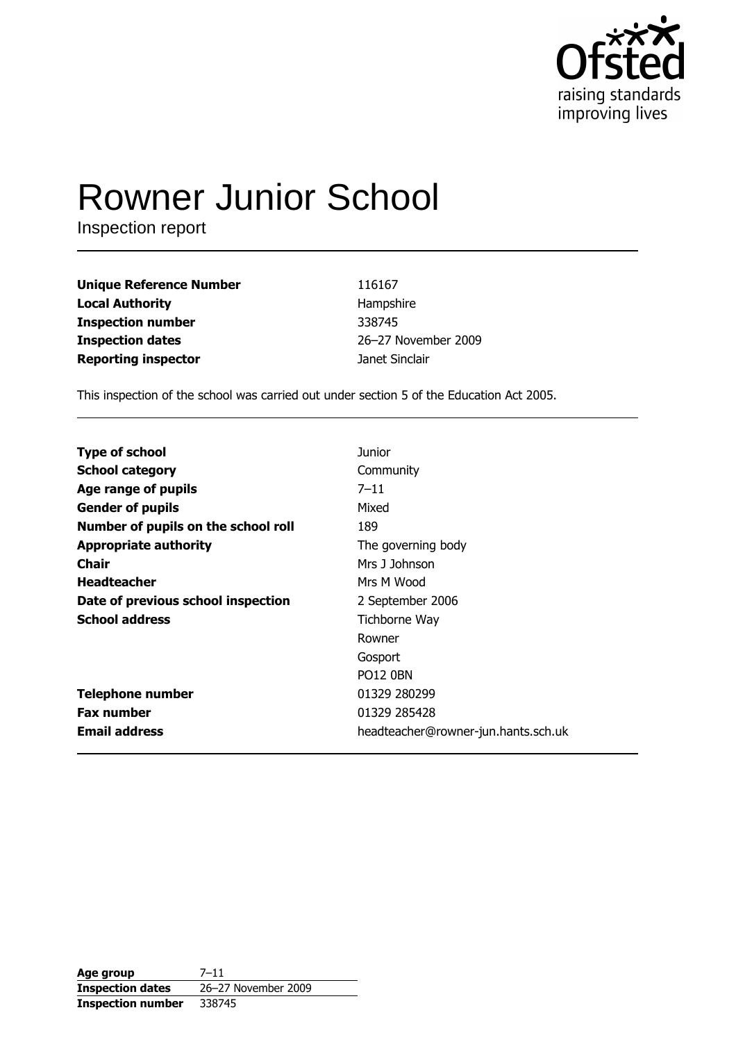

# **Rowner Junior School**

Inspection report

| <b>Unique Reference Number</b> | 116167              |
|--------------------------------|---------------------|
| <b>Local Authority</b>         | Hampshire           |
| <b>Inspection number</b>       | 338745              |
| <b>Inspection dates</b>        | 26-27 November 2009 |
| <b>Reporting inspector</b>     | Janet Sinclair      |

This inspection of the school was carried out under section 5 of the Education Act 2005.

| <b>Type of school</b>               | Junior                              |
|-------------------------------------|-------------------------------------|
| <b>School category</b>              | Community                           |
| Age range of pupils                 | $7 - 11$                            |
| <b>Gender of pupils</b>             | Mixed                               |
| Number of pupils on the school roll | 189                                 |
| <b>Appropriate authority</b>        | The governing body                  |
| Chair                               | Mrs 1 Johnson                       |
| <b>Headteacher</b>                  | Mrs M Wood                          |
| Date of previous school inspection  | 2 September 2006                    |
| <b>School address</b>               | Tichborne Way                       |
|                                     | Rowner                              |
|                                     | Gosport                             |
|                                     | <b>PO12 0BN</b>                     |
| <b>Telephone number</b>             | 01329 280299                        |
| <b>Fax number</b>                   | 01329 285428                        |
| <b>Email address</b>                | headteacher@rowner-jun.hants.sch.uk |

Age group  $7 - 11$ 26-27 November 2009 **Inspection dates Inspection number** 338745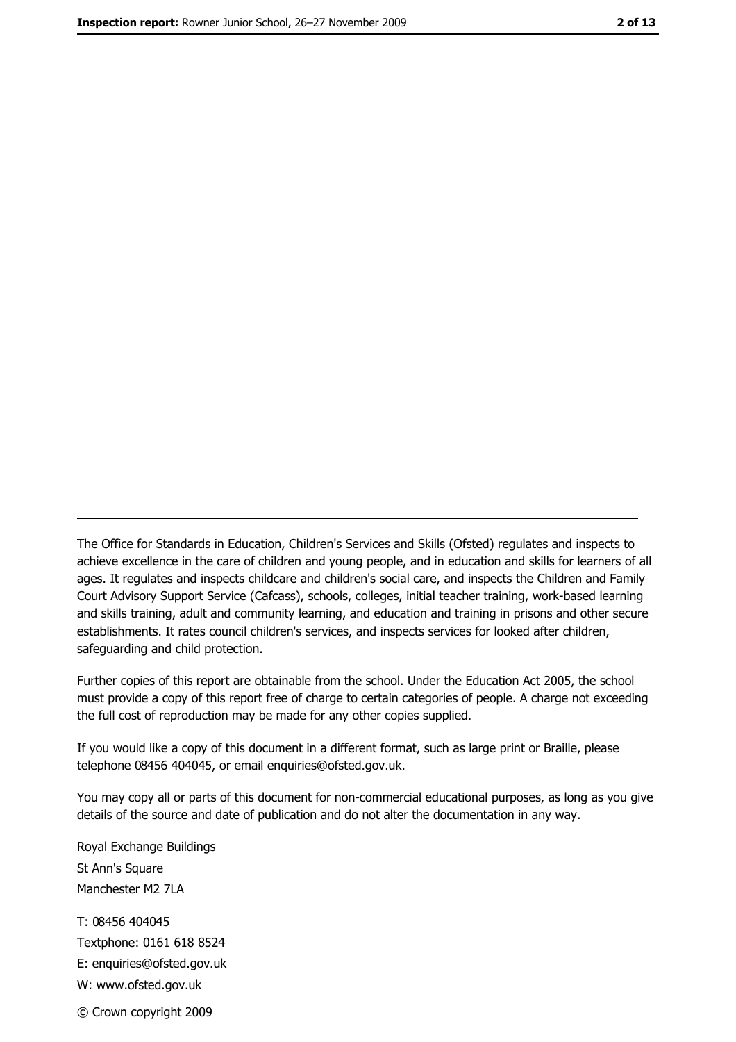The Office for Standards in Education, Children's Services and Skills (Ofsted) regulates and inspects to achieve excellence in the care of children and young people, and in education and skills for learners of all ages. It regulates and inspects childcare and children's social care, and inspects the Children and Family Court Advisory Support Service (Cafcass), schools, colleges, initial teacher training, work-based learning and skills training, adult and community learning, and education and training in prisons and other secure establishments. It rates council children's services, and inspects services for looked after children, safequarding and child protection.

Further copies of this report are obtainable from the school. Under the Education Act 2005, the school must provide a copy of this report free of charge to certain categories of people. A charge not exceeding the full cost of reproduction may be made for any other copies supplied.

If you would like a copy of this document in a different format, such as large print or Braille, please telephone 08456 404045, or email enquiries@ofsted.gov.uk.

You may copy all or parts of this document for non-commercial educational purposes, as long as you give details of the source and date of publication and do not alter the documentation in any way.

Royal Exchange Buildings St Ann's Square Manchester M2 7LA T: 08456 404045 Textphone: 0161 618 8524 E: enquiries@ofsted.gov.uk W: www.ofsted.gov.uk © Crown copyright 2009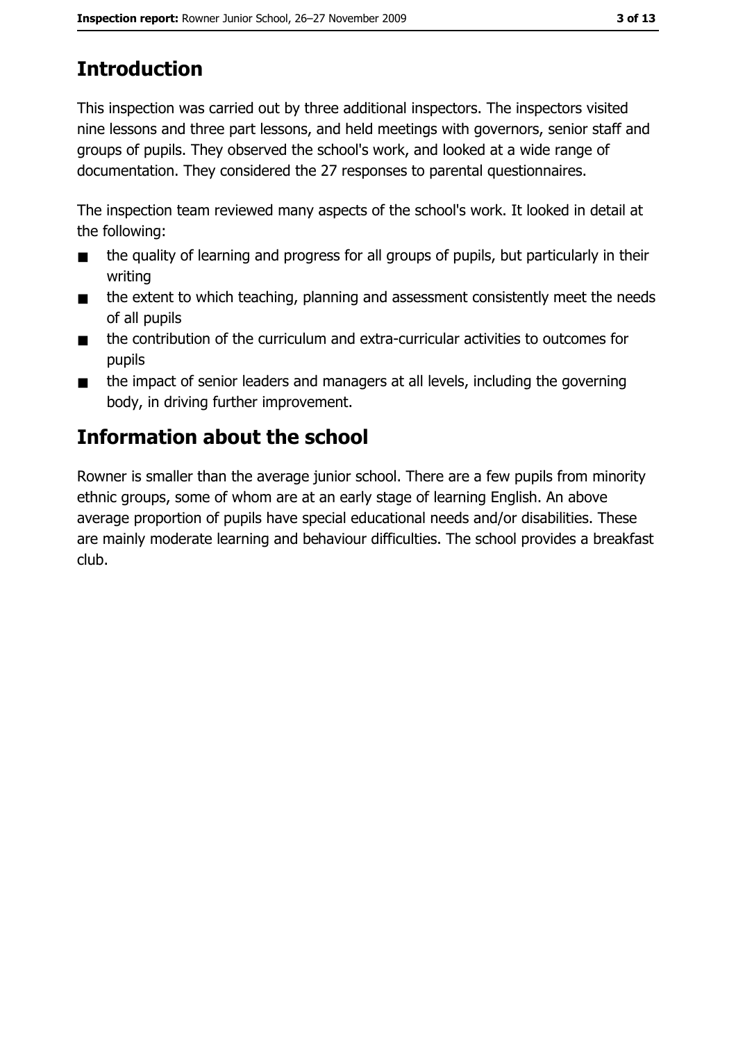# **Introduction**

This inspection was carried out by three additional inspectors. The inspectors visited nine lessons and three part lessons, and held meetings with governors, senior staff and groups of pupils. They observed the school's work, and looked at a wide range of documentation. They considered the 27 responses to parental questionnaires.

The inspection team reviewed many aspects of the school's work. It looked in detail at the following:

- the quality of learning and progress for all groups of pupils, but particularly in their  $\blacksquare$ writing
- the extent to which teaching, planning and assessment consistently meet the needs  $\blacksquare$ of all pupils
- the contribution of the curriculum and extra-curricular activities to outcomes for  $\blacksquare$ pupils
- the impact of senior leaders and managers at all levels, including the governing  $\blacksquare$ body, in driving further improvement.

## Information about the school

Rowner is smaller than the average junior school. There are a few pupils from minority ethnic groups, some of whom are at an early stage of learning English. An above average proportion of pupils have special educational needs and/or disabilities. These are mainly moderate learning and behaviour difficulties. The school provides a breakfast club.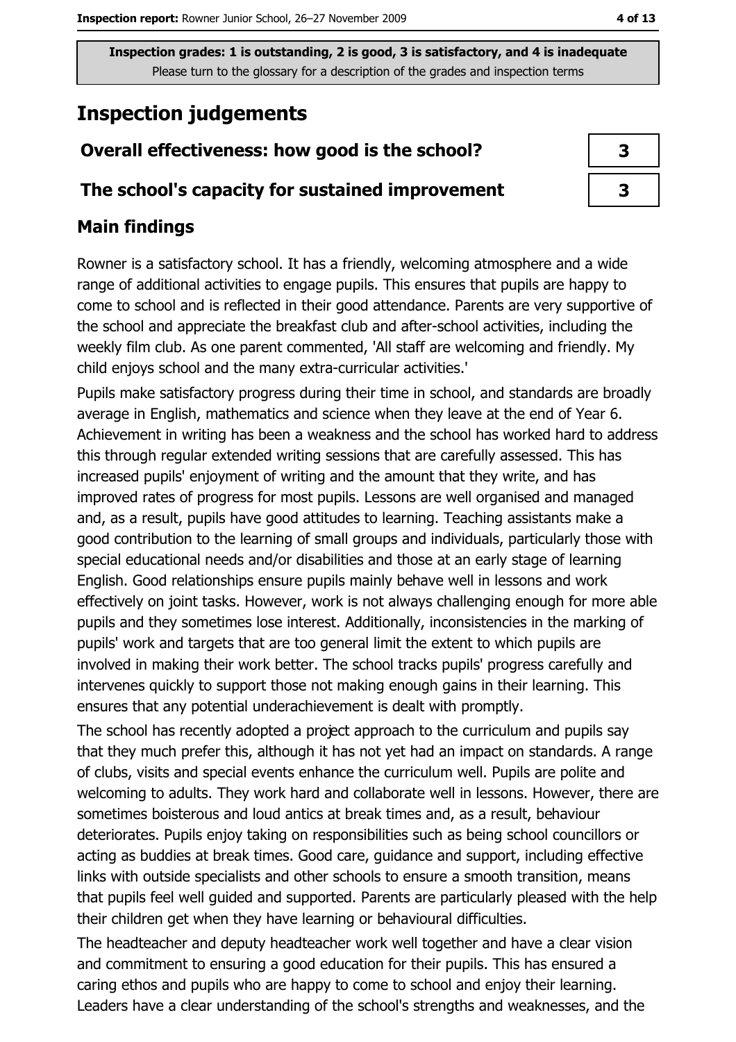## **Inspection judgements**

### Overall effectiveness: how good is the school?

#### The school's capacity for sustained improvement

#### **Main findings**

Rowner is a satisfactory school. It has a friendly, welcoming atmosphere and a wide range of additional activities to engage pupils. This ensures that pupils are happy to come to school and is reflected in their good attendance. Parents are very supportive of the school and appreciate the breakfast club and after-school activities, including the weekly film club. As one parent commented, 'All staff are welcoming and friendly. My child enjoys school and the many extra-curricular activities.

Pupils make satisfactory progress during their time in school, and standards are broadly average in English, mathematics and science when they leave at the end of Year 6. Achievement in writing has been a weakness and the school has worked hard to address this through regular extended writing sessions that are carefully assessed. This has increased pupils' enjoyment of writing and the amount that they write, and has improved rates of progress for most pupils. Lessons are well organised and managed and, as a result, pupils have good attitudes to learning. Teaching assistants make a good contribution to the learning of small groups and individuals, particularly those with special educational needs and/or disabilities and those at an early stage of learning English. Good relationships ensure pupils mainly behave well in lessons and work effectively on joint tasks. However, work is not always challenging enough for more able pupils and they sometimes lose interest. Additionally, inconsistencies in the marking of pupils' work and targets that are too general limit the extent to which pupils are involved in making their work better. The school tracks pupils' progress carefully and intervenes quickly to support those not making enough gains in their learning. This ensures that any potential underachievement is dealt with promptly.

The school has recently adopted a project approach to the curriculum and pupils say that they much prefer this, although it has not yet had an impact on standards. A range of clubs, visits and special events enhance the curriculum well. Pupils are polite and welcoming to adults. They work hard and collaborate well in lessons. However, there are sometimes boisterous and loud antics at break times and, as a result, behaviour deteriorates. Pupils enjoy taking on responsibilities such as being school councillors or acting as buddies at break times. Good care, guidance and support, including effective links with outside specialists and other schools to ensure a smooth transition, means that pupils feel well guided and supported. Parents are particularly pleased with the help their children get when they have learning or behavioural difficulties.

The headteacher and deputy headteacher work well together and have a clear vision and commitment to ensuring a good education for their pupils. This has ensured a caring ethos and pupils who are happy to come to school and enjoy their learning. Leaders have a clear understanding of the school's strengths and weaknesses, and the

| 3 |
|---|
| 3 |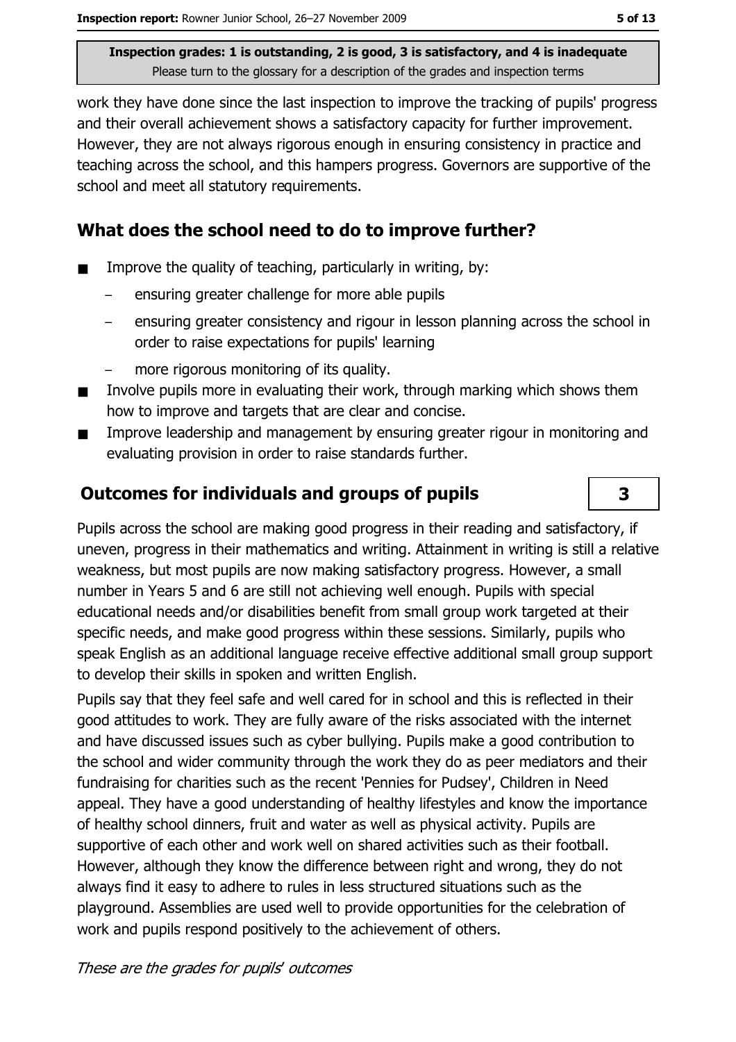work they have done since the last inspection to improve the tracking of pupils' progress and their overall achievement shows a satisfactory capacity for further improvement. However, they are not always rigorous enough in ensuring consistency in practice and teaching across the school, and this hampers progress. Governors are supportive of the school and meet all statutory requirements.

#### What does the school need to do to improve further?

- Improve the quality of teaching, particularly in writing, by:  $\blacksquare$ 
	- ensuring greater challenge for more able pupils
	- ensuring greater consistency and rigour in lesson planning across the school in order to raise expectations for pupils' learning
	- more rigorous monitoring of its quality.
- Involve pupils more in evaluating their work, through marking which shows them how to improve and targets that are clear and concise.
- Improve leadership and management by ensuring greater rigour in monitoring and evaluating provision in order to raise standards further.

#### **Outcomes for individuals and groups of pupils**

Pupils across the school are making good progress in their reading and satisfactory, if uneven, progress in their mathematics and writing. Attainment in writing is still a relative weakness, but most pupils are now making satisfactory progress. However, a small number in Years 5 and 6 are still not achieving well enough. Pupils with special educational needs and/or disabilities benefit from small group work targeted at their specific needs, and make good progress within these sessions. Similarly, pupils who speak English as an additional language receive effective additional small group support to develop their skills in spoken and written English.

Pupils say that they feel safe and well cared for in school and this is reflected in their good attitudes to work. They are fully aware of the risks associated with the internet and have discussed issues such as cyber bullying. Pupils make a good contribution to the school and wider community through the work they do as peer mediators and their fundraising for charities such as the recent 'Pennies for Pudsey', Children in Need appeal. They have a good understanding of healthy lifestyles and know the importance of healthy school dinners, fruit and water as well as physical activity. Pupils are supportive of each other and work well on shared activities such as their football. However, although they know the difference between right and wrong, they do not always find it easy to adhere to rules in less structured situations such as the playground. Assemblies are used well to provide opportunities for the celebration of work and pupils respond positively to the achievement of others.

These are the grades for pupils' outcomes

3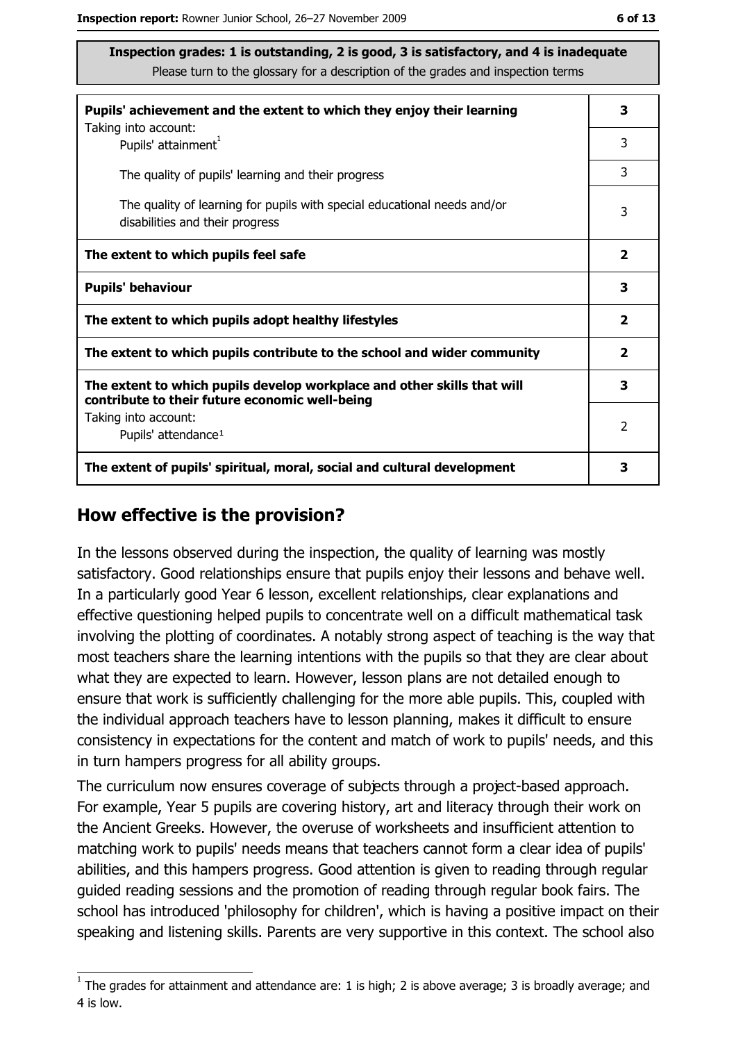| Pupils' achievement and the extent to which they enjoy their learning                                                     |               |  |
|---------------------------------------------------------------------------------------------------------------------------|---------------|--|
| Taking into account:<br>Pupils' attainment <sup>1</sup>                                                                   | 3             |  |
| The quality of pupils' learning and their progress                                                                        | 3             |  |
| The quality of learning for pupils with special educational needs and/or<br>disabilities and their progress               |               |  |
| The extent to which pupils feel safe                                                                                      |               |  |
| <b>Pupils' behaviour</b>                                                                                                  |               |  |
| The extent to which pupils adopt healthy lifestyles                                                                       |               |  |
| The extent to which pupils contribute to the school and wider community                                                   |               |  |
| The extent to which pupils develop workplace and other skills that will<br>contribute to their future economic well-being |               |  |
| Taking into account:<br>Pupils' attendance <sup>1</sup>                                                                   | $\mathcal{P}$ |  |
| The extent of pupils' spiritual, moral, social and cultural development                                                   |               |  |

#### How effective is the provision?

In the lessons observed during the inspection, the quality of learning was mostly satisfactory. Good relationships ensure that pupils enjoy their lessons and behave well. In a particularly good Year 6 lesson, excellent relationships, clear explanations and effective questioning helped pupils to concentrate well on a difficult mathematical task involving the plotting of coordinates. A notably strong aspect of teaching is the way that most teachers share the learning intentions with the pupils so that they are clear about what they are expected to learn. However, lesson plans are not detailed enough to ensure that work is sufficiently challenging for the more able pupils. This, coupled with the individual approach teachers have to lesson planning, makes it difficult to ensure consistency in expectations for the content and match of work to pupils' needs, and this in turn hampers progress for all ability groups.

The curriculum now ensures coverage of subjects through a project-based approach. For example, Year 5 pupils are covering history, art and literacy through their work on the Ancient Greeks. However, the overuse of worksheets and insufficient attention to matching work to pupils' needs means that teachers cannot form a clear idea of pupils' abilities, and this hampers progress. Good attention is given to reading through regular quided reading sessions and the promotion of reading through regular book fairs. The school has introduced 'philosophy for children', which is having a positive impact on their speaking and listening skills. Parents are very supportive in this context. The school also

 $1$  The grades for attainment and attendance are: 1 is high; 2 is above average; 3 is broadly average; and 4 is low.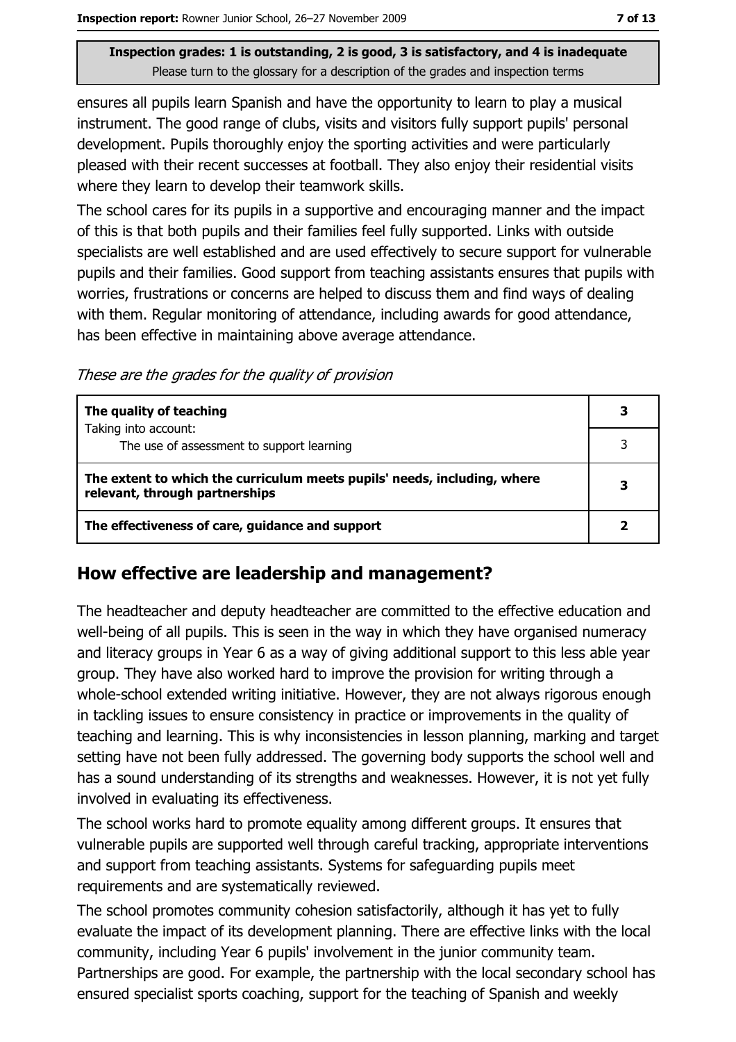ensures all pupils learn Spanish and have the opportunity to learn to play a musical instrument. The good range of clubs, visits and visitors fully support pupils' personal development. Pupils thoroughly enjoy the sporting activities and were particularly pleased with their recent successes at football. They also enjoy their residential visits where they learn to develop their teamwork skills.

The school cares for its pupils in a supportive and encouraging manner and the impact of this is that both pupils and their families feel fully supported. Links with outside specialists are well established and are used effectively to secure support for vulnerable pupils and their families. Good support from teaching assistants ensures that pupils with worries, frustrations or concerns are helped to discuss them and find ways of dealing with them. Regular monitoring of attendance, including awards for good attendance, has been effective in maintaining above average attendance.

These are the grades for the quality of provision

| The quality of teaching                                                                                    |  |
|------------------------------------------------------------------------------------------------------------|--|
| Taking into account:<br>The use of assessment to support learning                                          |  |
| The extent to which the curriculum meets pupils' needs, including, where<br>relevant, through partnerships |  |
| The effectiveness of care, guidance and support                                                            |  |

#### How effective are leadership and management?

The headteacher and deputy headteacher are committed to the effective education and well-being of all pupils. This is seen in the way in which they have organised numeracy and literacy groups in Year 6 as a way of giving additional support to this less able year group. They have also worked hard to improve the provision for writing through a whole-school extended writing initiative. However, they are not always rigorous enough in tackling issues to ensure consistency in practice or improvements in the quality of teaching and learning. This is why inconsistencies in lesson planning, marking and target setting have not been fully addressed. The governing body supports the school well and has a sound understanding of its strengths and weaknesses. However, it is not yet fully involved in evaluating its effectiveness.

The school works hard to promote equality among different groups. It ensures that vulnerable pupils are supported well through careful tracking, appropriate interventions and support from teaching assistants. Systems for safeguarding pupils meet requirements and are systematically reviewed.

The school promotes community cohesion satisfactorily, although it has yet to fully evaluate the impact of its development planning. There are effective links with the local community, including Year 6 pupils' involvement in the junior community team. Partnerships are good. For example, the partnership with the local secondary school has ensured specialist sports coaching, support for the teaching of Spanish and weekly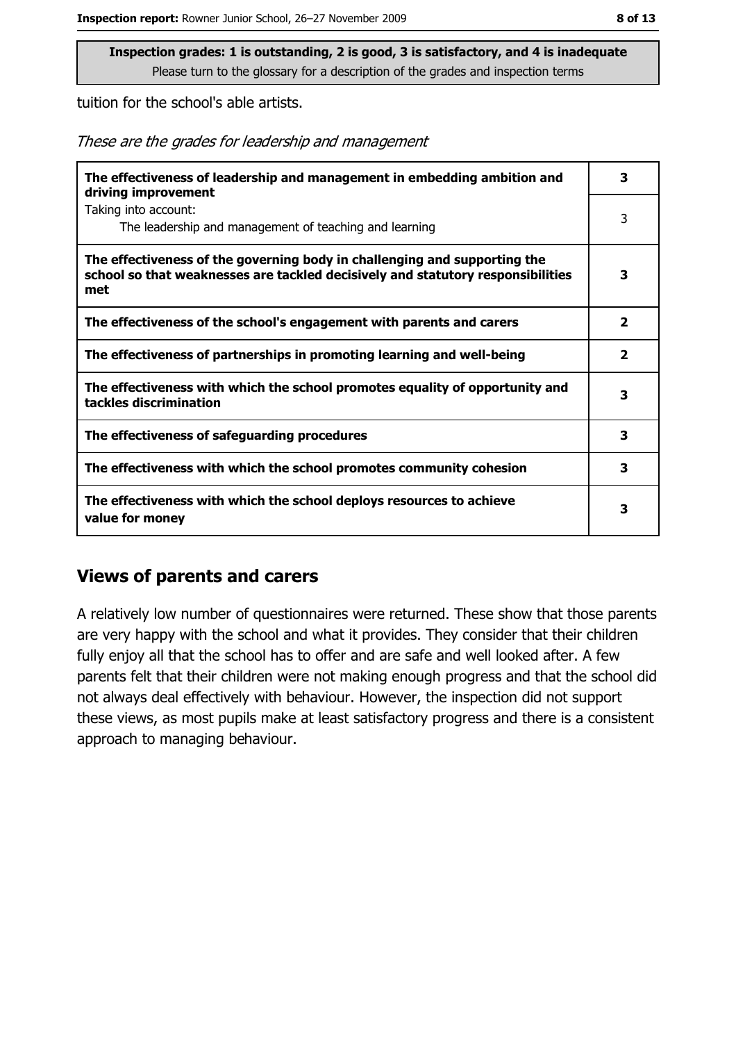tuition for the school's able artists.

These are the grades for leadership and management

| The effectiveness of leadership and management in embedding ambition and<br>driving improvement                                                                     |                         |  |
|---------------------------------------------------------------------------------------------------------------------------------------------------------------------|-------------------------|--|
| Taking into account:<br>The leadership and management of teaching and learning                                                                                      | 3                       |  |
| The effectiveness of the governing body in challenging and supporting the<br>school so that weaknesses are tackled decisively and statutory responsibilities<br>met | 3                       |  |
| The effectiveness of the school's engagement with parents and carers                                                                                                | $\overline{2}$          |  |
| The effectiveness of partnerships in promoting learning and well-being                                                                                              | $\overline{\mathbf{z}}$ |  |
| The effectiveness with which the school promotes equality of opportunity and<br>tackles discrimination                                                              | 3                       |  |
| The effectiveness of safeguarding procedures                                                                                                                        | 3                       |  |
| The effectiveness with which the school promotes community cohesion                                                                                                 | 3                       |  |
| The effectiveness with which the school deploys resources to achieve<br>value for money                                                                             |                         |  |

#### **Views of parents and carers**

A relatively low number of questionnaires were returned. These show that those parents are very happy with the school and what it provides. They consider that their children fully enjoy all that the school has to offer and are safe and well looked after. A few parents felt that their children were not making enough progress and that the school did not always deal effectively with behaviour. However, the inspection did not support these views, as most pupils make at least satisfactory progress and there is a consistent approach to managing behaviour.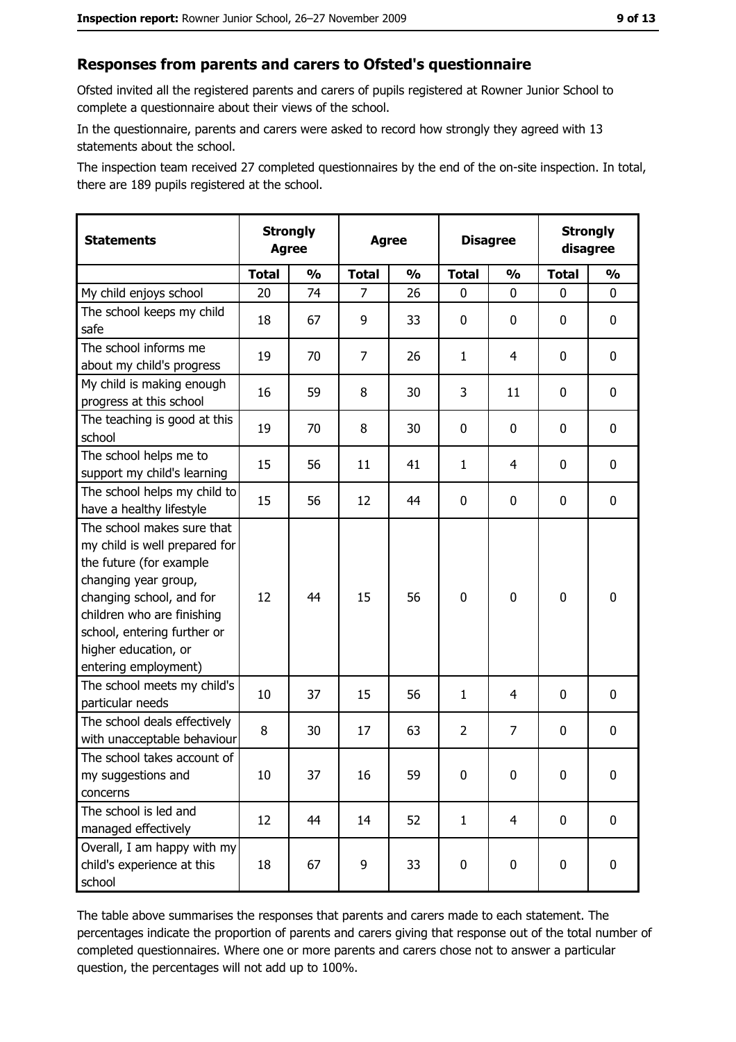#### Responses from parents and carers to Ofsted's questionnaire

Ofsted invited all the registered parents and carers of pupils registered at Rowner Junior School to complete a questionnaire about their views of the school.

In the questionnaire, parents and carers were asked to record how strongly they agreed with 13 statements about the school.

The inspection team received 27 completed questionnaires by the end of the on-site inspection. In total, there are 189 pupils registered at the school.

| <b>Statements</b>                                                                                                                                                                                                                                       | <b>Strongly</b><br><b>Agree</b> |               | <b>Agree</b> |               | <b>Disagree</b> |                | <b>Strongly</b><br>disagree |               |
|---------------------------------------------------------------------------------------------------------------------------------------------------------------------------------------------------------------------------------------------------------|---------------------------------|---------------|--------------|---------------|-----------------|----------------|-----------------------------|---------------|
|                                                                                                                                                                                                                                                         | <b>Total</b>                    | $\frac{1}{2}$ | <b>Total</b> | $\frac{0}{0}$ | <b>Total</b>    | $\frac{0}{0}$  | <b>Total</b>                | $\frac{1}{2}$ |
| My child enjoys school                                                                                                                                                                                                                                  | 20                              | 74            | 7            | 26            | $\mathbf 0$     | 0              | 0                           | 0             |
| The school keeps my child<br>safe                                                                                                                                                                                                                       | 18                              | 67            | 9            | 33            | $\mathbf 0$     | 0              | 0                           | 0             |
| The school informs me<br>about my child's progress                                                                                                                                                                                                      | 19                              | 70            | 7            | 26            | $\mathbf{1}$    | 4              | 0                           | 0             |
| My child is making enough<br>progress at this school                                                                                                                                                                                                    | 16                              | 59            | 8            | 30            | 3               | 11             | 0                           | 0             |
| The teaching is good at this<br>school                                                                                                                                                                                                                  | 19                              | 70            | 8            | 30            | $\mathbf 0$     | 0              | $\mathbf{0}$                | 0             |
| The school helps me to<br>support my child's learning                                                                                                                                                                                                   | 15                              | 56            | 11           | 41            | 1               | 4              | 0                           | 0             |
| The school helps my child to<br>have a healthy lifestyle                                                                                                                                                                                                | 15                              | 56            | 12           | 44            | $\mathbf 0$     | 0              | 0                           | 0             |
| The school makes sure that<br>my child is well prepared for<br>the future (for example<br>changing year group,<br>changing school, and for<br>children who are finishing<br>school, entering further or<br>higher education, or<br>entering employment) | 12                              | 44            | 15           | 56            | $\mathbf 0$     | 0              | $\mathbf 0$                 | 0             |
| The school meets my child's<br>particular needs                                                                                                                                                                                                         | 10                              | 37            | 15           | 56            | $\mathbf{1}$    | 4              | 0                           | 0             |
| The school deals effectively<br>with unacceptable behaviour                                                                                                                                                                                             | 8                               | 30            | 17           | 63            | $\overline{2}$  | 7              | 0                           | 0             |
| The school takes account of<br>my suggestions and<br>concerns                                                                                                                                                                                           | 10                              | 37            | 16           | 59            | $\mathbf 0$     | 0              | 0                           | 0             |
| The school is led and<br>managed effectively                                                                                                                                                                                                            | 12                              | 44            | 14           | 52            | $\mathbf{1}$    | $\overline{4}$ | 0                           | $\mathbf 0$   |
| Overall, I am happy with my<br>child's experience at this<br>school                                                                                                                                                                                     | 18                              | 67            | 9            | 33            | $\pmb{0}$       | 0              | $\mathbf 0$                 | 0             |

The table above summarises the responses that parents and carers made to each statement. The percentages indicate the proportion of parents and carers giving that response out of the total number of completed questionnaires. Where one or more parents and carers chose not to answer a particular question, the percentages will not add up to 100%.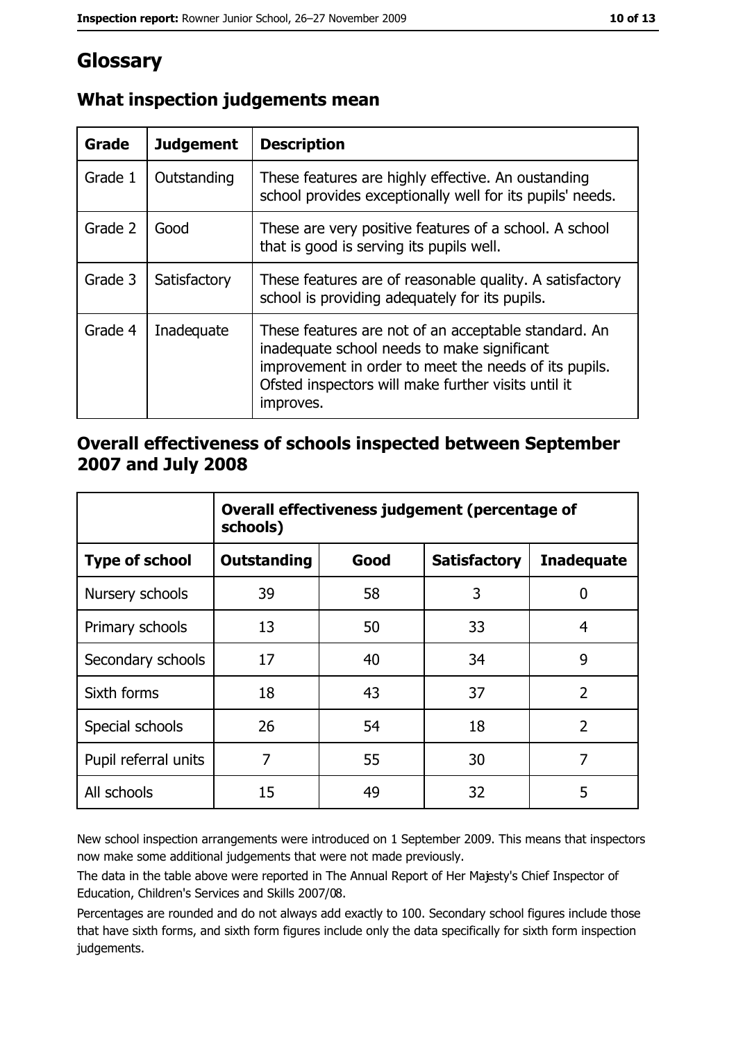# Glossary

| <b>Grade</b> | <b>Judgement</b> | <b>Description</b>                                                                                                                                                                                                               |  |
|--------------|------------------|----------------------------------------------------------------------------------------------------------------------------------------------------------------------------------------------------------------------------------|--|
| Grade 1      | Outstanding      | These features are highly effective. An oustanding<br>school provides exceptionally well for its pupils' needs.                                                                                                                  |  |
| Grade 2      | Good             | These are very positive features of a school. A school<br>that is good is serving its pupils well.                                                                                                                               |  |
| Grade 3      | Satisfactory     | These features are of reasonable quality. A satisfactory<br>school is providing adequately for its pupils.                                                                                                                       |  |
| Grade 4      | Inadequate       | These features are not of an acceptable standard. An<br>inadequate school needs to make significant<br>improvement in order to meet the needs of its pupils.<br>Ofsted inspectors will make further visits until it<br>improves. |  |

## What inspection judgements mean

#### Overall effectiveness of schools inspected between September 2007 and July 2008

|                       | Overall effectiveness judgement (percentage of<br>schools) |      |                     |                   |
|-----------------------|------------------------------------------------------------|------|---------------------|-------------------|
| <b>Type of school</b> | Outstanding                                                | Good | <b>Satisfactory</b> | <b>Inadequate</b> |
| Nursery schools       | 39                                                         | 58   | 3                   | 0                 |
| Primary schools       | 13                                                         | 50   | 33                  | 4                 |
| Secondary schools     | 17                                                         | 40   | 34                  | 9                 |
| Sixth forms           | 18                                                         | 43   | 37                  | $\overline{2}$    |
| Special schools       | 26                                                         | 54   | 18                  | $\overline{2}$    |
| Pupil referral units  | 7                                                          | 55   | 30                  | 7                 |
| All schools           | 15                                                         | 49   | 32                  | 5                 |

New school inspection arrangements were introduced on 1 September 2009. This means that inspectors now make some additional judgements that were not made previously.

The data in the table above were reported in The Annual Report of Her Majesty's Chief Inspector of Education, Children's Services and Skills 2007/08.

Percentages are rounded and do not always add exactly to 100. Secondary school figures include those that have sixth forms, and sixth form figures include only the data specifically for sixth form inspection judgements.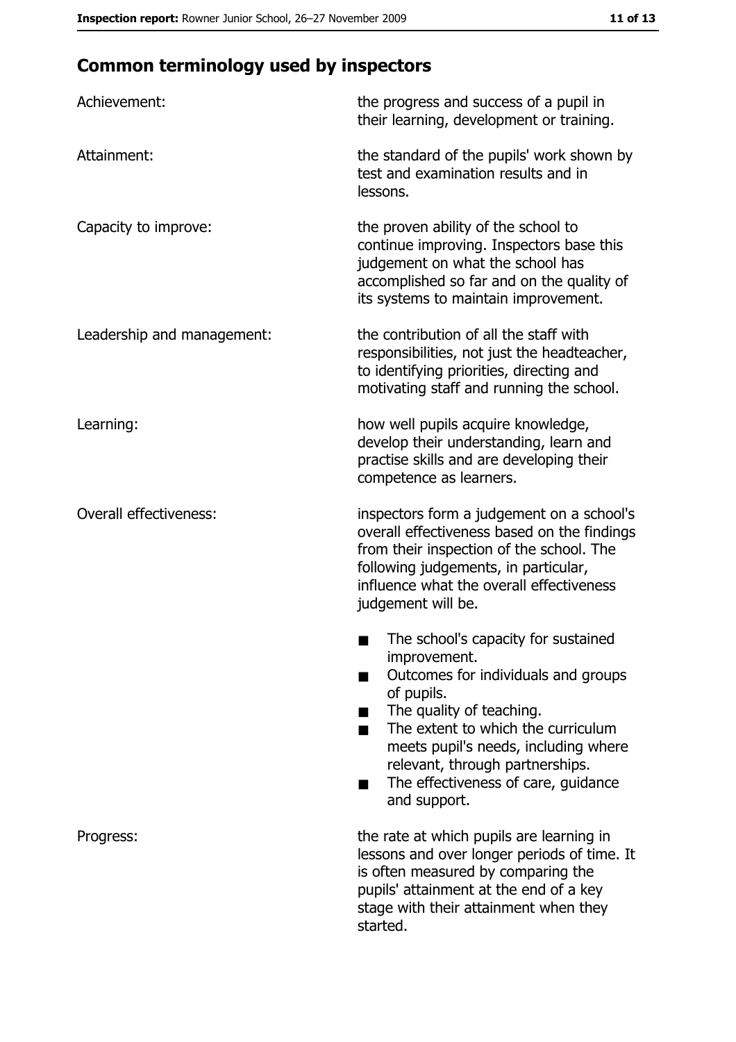## **Common terminology used by inspectors**

| Achievement:                  | the progress and success of a pupil in<br>their learning, development or training.                                                                                                                                                                                                                           |
|-------------------------------|--------------------------------------------------------------------------------------------------------------------------------------------------------------------------------------------------------------------------------------------------------------------------------------------------------------|
| Attainment:                   | the standard of the pupils' work shown by<br>test and examination results and in<br>lessons.                                                                                                                                                                                                                 |
| Capacity to improve:          | the proven ability of the school to<br>continue improving. Inspectors base this<br>judgement on what the school has<br>accomplished so far and on the quality of<br>its systems to maintain improvement.                                                                                                     |
| Leadership and management:    | the contribution of all the staff with<br>responsibilities, not just the headteacher,<br>to identifying priorities, directing and<br>motivating staff and running the school.                                                                                                                                |
| Learning:                     | how well pupils acquire knowledge,<br>develop their understanding, learn and<br>practise skills and are developing their<br>competence as learners.                                                                                                                                                          |
| <b>Overall effectiveness:</b> | inspectors form a judgement on a school's<br>overall effectiveness based on the findings<br>from their inspection of the school. The<br>following judgements, in particular,<br>influence what the overall effectiveness<br>judgement will be.                                                               |
|                               | The school's capacity for sustained<br>improvement.<br>Outcomes for individuals and groups<br>of pupils.<br>The quality of teaching.<br>The extent to which the curriculum<br>meets pupil's needs, including where<br>relevant, through partnerships.<br>The effectiveness of care, guidance<br>and support. |
| Progress:                     | the rate at which pupils are learning in<br>lessons and over longer periods of time. It<br>is often measured by comparing the<br>pupils' attainment at the end of a key<br>stage with their attainment when they<br>started.                                                                                 |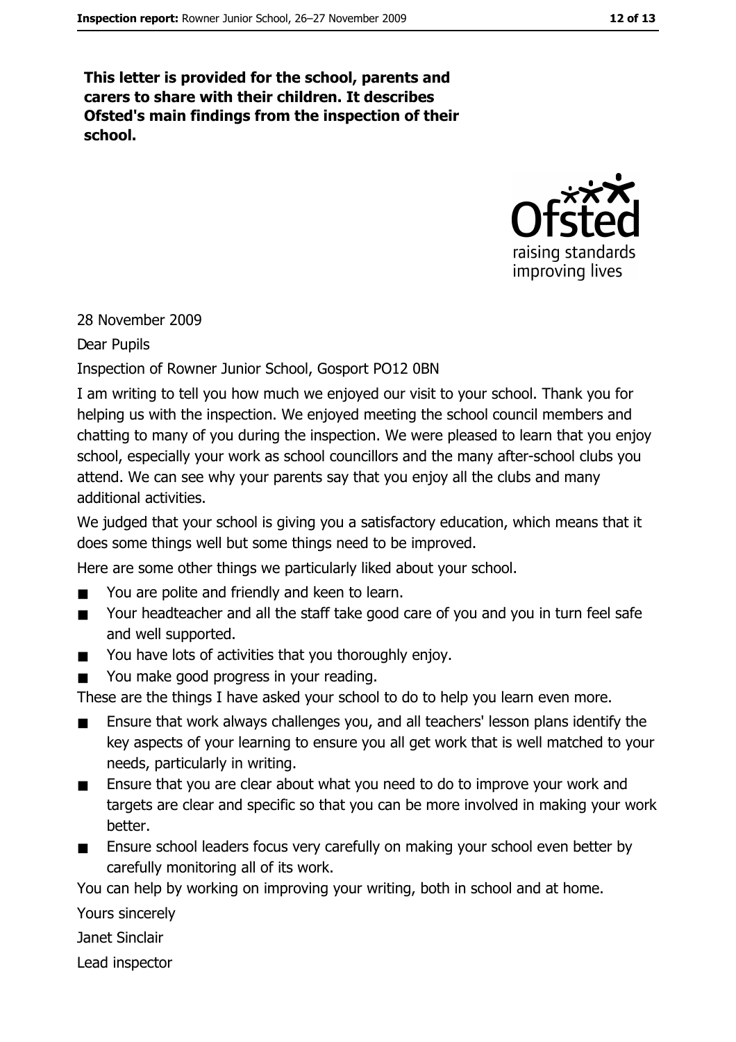This letter is provided for the school, parents and carers to share with their children. It describes Ofsted's main findings from the inspection of their school.



28 November 2009

Dear Pupils

Inspection of Rowner Junior School, Gosport PO12 0BN

I am writing to tell you how much we enjoyed our visit to your school. Thank you for helping us with the inspection. We enjoyed meeting the school council members and chatting to many of you during the inspection. We were pleased to learn that you enjoy school, especially your work as school councillors and the many after-school clubs you attend. We can see why your parents say that you enjoy all the clubs and many additional activities.

We judged that your school is giving you a satisfactory education, which means that it does some things well but some things need to be improved.

Here are some other things we particularly liked about your school.

- You are polite and friendly and keen to learn.  $\blacksquare$
- Your headteacher and all the staff take good care of you and you in turn feel safe  $\blacksquare$ and well supported.
- You have lots of activities that you thoroughly enjoy.  $\blacksquare$
- You make good progress in your reading.  $\blacksquare$

These are the things I have asked your school to do to help you learn even more.

- Ensure that work always challenges you, and all teachers' lesson plans identify the  $\blacksquare$ key aspects of your learning to ensure you all get work that is well matched to your needs, particularly in writing.
- Ensure that you are clear about what you need to do to improve your work and  $\blacksquare$ targets are clear and specific so that you can be more involved in making your work better.
- Ensure school leaders focus very carefully on making your school even better by  $\blacksquare$ carefully monitoring all of its work.

You can help by working on improving your writing, both in school and at home.

Yours sincerely

Janet Sinclair

Lead inspector